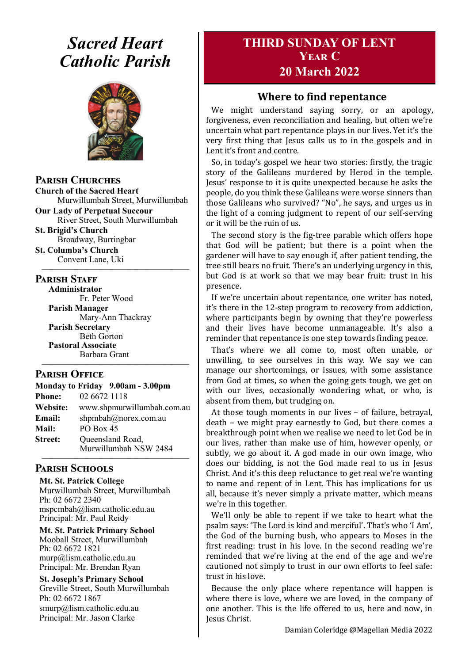# *Sacred Heart Catholic Parish*



**Parish Churches**

**Church of the Sacred Heart** Murwillumbah Street, Murwillumbah

**Our Lady of Perpetual Succour** River Street, South Murwillumbah

**St. Brigid's Church** Broadway, Burringbar

**St. Columba's Church** Convent Lane, Uki —————————————————

#### **PARISH STAFF**

**Administrator** Fr. Peter Wood **Parish Manager** Mary-Ann Thackray **Parish Secretary** Beth Gorton **Pastoral Associate**

Barbara Grant —————————————————

#### **Parish Office**

| Monday to Friday 9.00am - 3.00pm |                            |
|----------------------------------|----------------------------|
| <b>Phone:</b>                    | 02 6672 1118               |
| <b>Website:</b>                  | www.shpmurwillumbah.com.au |
| Email:                           | shpmbah@norex.com.au       |
| <b>Mail:</b>                     | PO Box 45                  |
| <b>Street:</b>                   | Queensland Road,           |
|                                  | Murwillumbah NSW 2484      |

#### ————————————————— **Parish Schools**

**Mt. St. Patrick College** Murwillumbah Street, Murwillumbah Ph: 02 6672 2340 mspcmbah@lism.catholic.edu.au Principal: Mr. Paul Reidy

**Mt. St. Patrick Primary School** Mooball Street, Murwillumbah Ph: 02 6672 1821 murp@lism.catholic.edu.au Principal: Mr. Brendan Ryan

**St. Joseph's Primary School** Greville Street, South Murwillumbah Ph: 02 6672 1867 smurp@lism.catholic.edu.au Principal: Mr. Jason Clarke

# **THIRD SUNDAY OF LENT Year C 20 March 2022**

### **Where to find repentance**

We might understand saying sorry, or an apology, forgiveness, even reconciliation and healing, but often we're uncertain what part repentance plays in our lives. Yet it's the very first thing that Jesus calls us to in the gospels and in Lent it's front and centre.

So, in today's gospel we hear two stories: firstly, the tragic story of the Galileans murdered by Herod in the temple. Jesus' response to it is quite unexpected because he asks the people, do you think these Galileans were worse sinners than those Galileans who survived? "No", he says, and urges us in the light of a coming judgment to repent of our self-serving or it will be the ruin of us.

The second story is the fig-tree parable which offers hope that God will be patient; but there is a point when the gardener will have to say enough if, after patient tending, the tree still bears no fruit. There's an underlying urgency in this, but God is at work so that we may bear fruit: trust in his presence.

If we're uncertain about repentance, one writer has noted, it's there in the 12-step program to recovery from addiction, where participants begin by owning that they're powerless and their lives have become unmanageable. It's also a reminder that repentance is one step towards finding peace.

That's where we all come to, most often unable, or unwilling, to see ourselves in this way. We say we can manage our shortcomings, or issues, with some assistance from God at times, so when the going gets tough, we get on with our lives, occasionally wondering what, or who, is absent from them, but trudging on.

At those tough moments in our lives – of failure, betrayal, death – we might pray earnestly to God, but there comes a breakthrough point when we realise we need to let God be in our lives, rather than make use of him, however openly, or subtly, we go about it. A god made in our own image, who does our bidding, is not the God made real to us in Jesus Christ. And it's this deep reluctance to get real we're wanting to name and repent of in Lent. This has implications for us all, because it's never simply a private matter, which means we're in this together.

We'll only be able to repent if we take to heart what the psalm says: 'The Lord is kind and merciful'. That's who 'I Am', the God of the burning bush, who appears to Moses in the first reading: trust in his love. In the second reading we're reminded that we're living at the end of the age and we're cautioned not simply to trust in our own efforts to feel safe: trust in his love.

Because the only place where repentance will happen is where there is love, where we are loved, in the company of one another. This is the life offered to us, here and now, in Jesus Christ.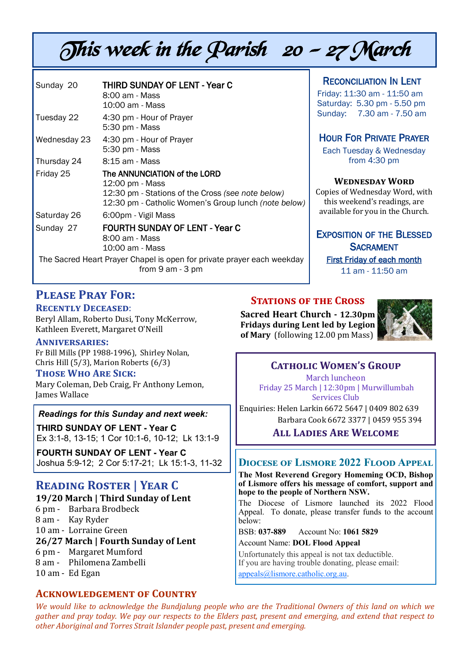# This week in the Parish 20 - 27 March

| Sunday 20    | <b>THIRD SUNDAY OF LENT - Year C</b><br>8:00 am - Mass<br>10:00 am - Mass                                                                                    |
|--------------|--------------------------------------------------------------------------------------------------------------------------------------------------------------|
| Tuesday 22   | 4:30 pm - Hour of Prayer<br>5:30 pm - Mass                                                                                                                   |
| Wednesday 23 | 4:30 pm - Hour of Prayer<br>5:30 pm - Mass                                                                                                                   |
| Thursday 24  | 8:15 am - Mass                                                                                                                                               |
| Friday 25    | The ANNUNCIATION of the LORD<br>12:00 pm - Mass<br>12:30 pm - Stations of the Cross (see note below)<br>12:30 pm - Catholic Women's Group lunch (note below) |
| Saturday 26  | 6:00pm - Vigil Mass                                                                                                                                          |
| Sunday 27    | <b>FOURTH SUNDAY OF LENT - Year C</b><br>8:00 am - Mass<br>10:00 am - Mass                                                                                   |
|              | The Sacred Heart Prayer Chapel is open for private prayer each weekday<br>from $9$ am $-3$ pm                                                                |

#### RECONCILIATION IN LENT

Friday: 11:30 am - 11:50 am Saturday: 5.30 pm - 5.50 pm Sunday: 7.30 am - 7.50 am

#### HOUR FOR PRIVATE PRAYER

Each Tuesday & Wednesday from 4:30 pm

#### **Wednesday Word**

Copies of Wednesday Word, with this weekend's readings, are available for you in the Church.

#### EXPOSITION OF THE BLESSED **SACRAMENT**

First Friday of each month 11 am - 11:50 am

# **Please Pray For:**

**Recently Deceased**:

Beryl Allam, Roberto Dusi, Tony McKerrow, Kathleen Everett, Margaret O'Neill

#### **Anniversaries:**

Fr Bill Mills (PP 1988-1996), Shirley Nolan, Chris Hill (5/3), Marion Roberts (6/3)

#### **Those Who Are Sick:**

Mary Coleman, Deb Craig, Fr Anthony Lemon, James Wallace

#### *Readings for this Sunday and next week:*

**THIRD SUNDAY OF LENT - Year C** Ex 3:1-8, 13-15; 1 Cor 10:1-6, 10-12; Lk 13:1-9

**FOURTH SUNDAY OF LENT - Year C** Joshua 5:9-12; 2 Cor 5:17-21; Lk 15:1-3, 11-32

# **Reading Roster | Year C**

**19/20 March | Third Sunday of Lent** 

6 pm - Barbara Brodbeck

8 am - Kay Ryder

10 am - Lorraine Green

#### **26/27 March | Fourth Sunday of Lent**

- 6 pm Margaret Mumford
- 8 am Philomena Zambelli
- 10 am Ed Egan

#### **Acknowledgement of Country**

#### **STATIONS OF THE CROSS**

**Sacred Heart Church - 12.30pm Fridays during Lent led by Legion of Mary** (following 12.00 pm Mass)



#### **Catholic Women's Group**

March luncheon Friday 25 March | 12:30pm | Murwillumbah Services Club

Enquiries: Helen Larkin 6672 5647 | 0409 802 639 Barbara Cook 6672 3377 | 0459 955 394

**All Ladies Are Welcome**

#### **Diocese of Lismore 2022 Flood Appeal**

**The Most Reverend Gregory Homeming OCD, Bishop of Lismore offers his message of comfort, support and hope to the people of Northern NSW.**

The Diocese of Lismore launched its 2022 Flood Appeal. To donate, please transfer funds to the account below:

BSB: **037-889** Account No: **1061 5829** Account Name: **DOL Flood Appeal**

Unfortunately this appeal is not tax deductible. If you are having trouble donating, please email: [appeals@lismore.catholic.org.au.](mailto:appeals@lismore.catholic.org.au)

*We would like to acknowledge the Bundjalung people who are the Traditional Owners of this land on which we gather and pray today. We pay our respects to the Elders past, present and emerging, and extend that respect to other Aboriginal and Torres Strait Islander people past, present and emerging.*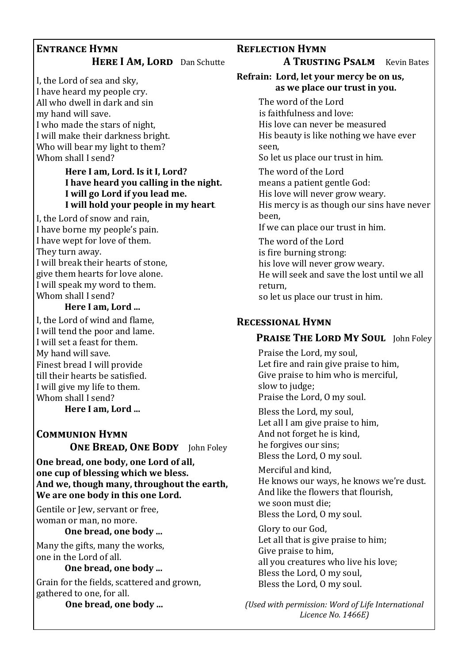#### **Entrance Hymn HERE I AM, LORD** Dan Schutte

I, the Lord of sea and sky, I have heard my people cry. All who dwell in dark and sin my hand will save. I who made the stars of night, I will make their darkness bright. Who will bear my light to them? Whom shall I send?

#### **Here I am, Lord. Is it I, Lord? I have heard you calling in the night. I will go Lord if you lead me. I will hold your people in my heart**.

I, the Lord of snow and rain, I have borne my people's pain. I have wept for love of them. They turn away. I will break their hearts of stone, give them hearts for love alone. I will speak my word to them. Whom shall I send?

#### **Here I am, Lord ...**

I, the Lord of wind and flame, I will tend the poor and lame. I will set a feast for them. My hand will save. Finest bread I will provide till their hearts be satisfied. I will give my life to them. Whom shall I send?

**Here I am, Lord ...**

#### **Communion Hymn ONE BREAD, ONE BODY** John Foley

**One bread, one body, one Lord of all, one cup of blessing which we bless. And we, though many, throughout the earth, We are one body in this one Lord.**

Gentile or Jew, servant or free, woman or man, no more.

#### **One bread, one body ...**

Many the gifts, many the works, one in the Lord of all.

#### **One bread, one body ...**

Grain for the fields, scattered and grown, gathered to one, for all.

**One bread, one body ...**

#### **Reflection Hymn**

**A TRUSTING PSALM** Kevin Bates

#### **Refrain: Lord, let your mercy be on us, as we place our trust in you.**

The word of the Lord is faithfulness and love: His love can never be measured His beauty is like nothing we have ever seen, So let us place our trust in him. The word of the Lord means a patient gentle God: His love will never grow weary. His mercy is as though our sins have never been, If we can place our trust in him. The word of the Lord is fire burning strong: his love will never grow weary. He will seek and save the lost until we all return, so let us place our trust in him.

#### **Recessional Hymn**

#### **PRAISE THE LORD MY SOUL** John Foley

Praise the Lord, my soul, Let fire and rain give praise to him, Give praise to him who is merciful, slow to judge: Praise the Lord, O my soul.

Bless the Lord, my soul, Let all I am give praise to him, And not forget he is kind, he forgives our sins; Bless the Lord, O my soul.

Merciful and kind, He knows our ways, he knows we're dust. And like the flowers that flourish, we soon must die; Bless the Lord, O my soul.

Glory to our God, Let all that is give praise to him; Give praise to him, all you creatures who live his love; Bless the Lord, O my soul, Bless the Lord, O my soul.

*(Used with permission: Word of Life International Licence No. 1466E)*